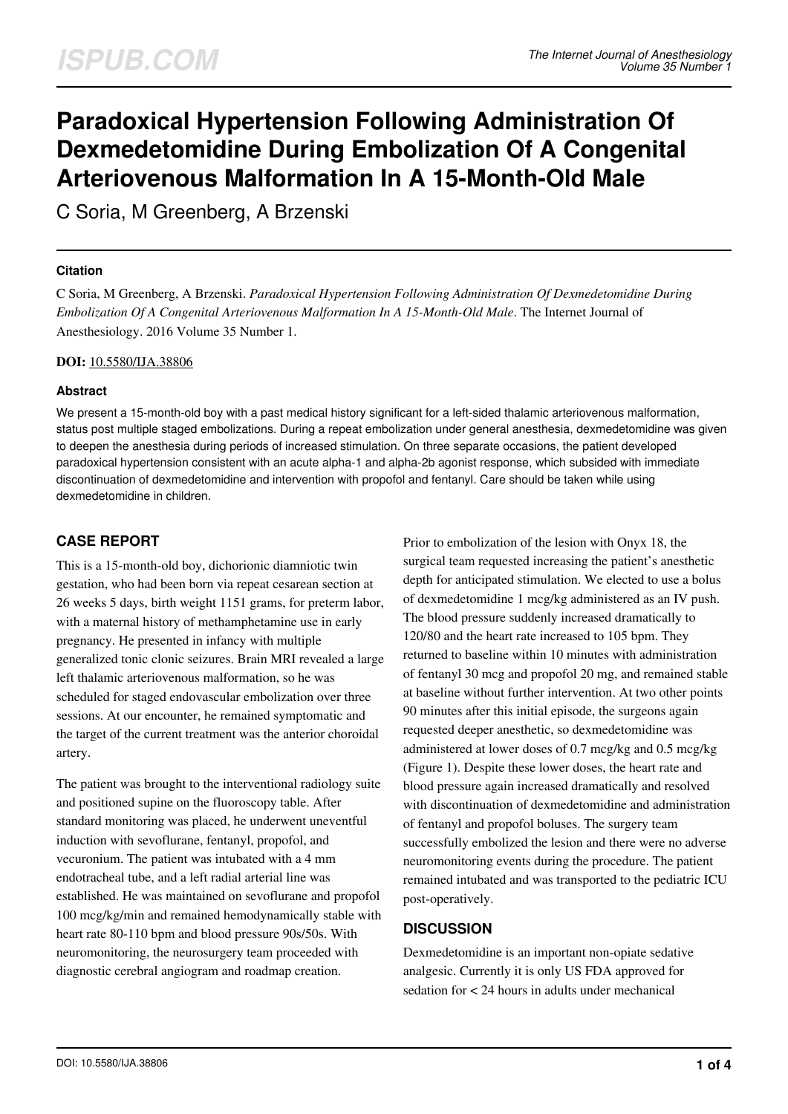# **Paradoxical Hypertension Following Administration Of Dexmedetomidine During Embolization Of A Congenital Arteriovenous Malformation In A 15-Month-Old Male**

C Soria, M Greenberg, A Brzenski

#### **Citation**

C Soria, M Greenberg, A Brzenski. *Paradoxical Hypertension Following Administration Of Dexmedetomidine During Embolization Of A Congenital Arteriovenous Malformation In A 15-Month-Old Male*. The Internet Journal of Anesthesiology. 2016 Volume 35 Number 1.

#### **DOI:** [10.5580/IJA.38806](https://ispub.com/doi/10.5580/IJA.38806)

#### **Abstract**

We present a 15-month-old boy with a past medical history significant for a left-sided thalamic arteriovenous malformation, status post multiple staged embolizations. During a repeat embolization under general anesthesia, dexmedetomidine was given to deepen the anesthesia during periods of increased stimulation. On three separate occasions, the patient developed paradoxical hypertension consistent with an acute alpha-1 and alpha-2b agonist response, which subsided with immediate discontinuation of dexmedetomidine and intervention with propofol and fentanyl. Care should be taken while using dexmedetomidine in children.

# **CASE REPORT**

This is a 15-month-old boy, dichorionic diamniotic twin gestation, who had been born via repeat cesarean section at 26 weeks 5 days, birth weight 1151 grams, for preterm labor, with a maternal history of methamphetamine use in early pregnancy. He presented in infancy with multiple generalized tonic clonic seizures. Brain MRI revealed a large left thalamic arteriovenous malformation, so he was scheduled for staged endovascular embolization over three sessions. At our encounter, he remained symptomatic and the target of the current treatment was the anterior choroidal artery.

The patient was brought to the interventional radiology suite and positioned supine on the fluoroscopy table. After standard monitoring was placed, he underwent uneventful induction with sevoflurane, fentanyl, propofol, and vecuronium. The patient was intubated with a 4 mm endotracheal tube, and a left radial arterial line was established. He was maintained on sevoflurane and propofol 100 mcg/kg/min and remained hemodynamically stable with heart rate 80-110 bpm and blood pressure 90s/50s. With neuromonitoring, the neurosurgery team proceeded with diagnostic cerebral angiogram and roadmap creation.

Prior to embolization of the lesion with Onyx 18, the surgical team requested increasing the patient's anesthetic depth for anticipated stimulation. We elected to use a bolus of dexmedetomidine 1 mcg/kg administered as an IV push. The blood pressure suddenly increased dramatically to 120/80 and the heart rate increased to 105 bpm. They returned to baseline within 10 minutes with administration of fentanyl 30 mcg and propofol 20 mg, and remained stable at baseline without further intervention. At two other points 90 minutes after this initial episode, the surgeons again requested deeper anesthetic, so dexmedetomidine was administered at lower doses of 0.7 mcg/kg and 0.5 mcg/kg (Figure 1). Despite these lower doses, the heart rate and blood pressure again increased dramatically and resolved with discontinuation of dexmedetomidine and administration of fentanyl and propofol boluses. The surgery team successfully embolized the lesion and there were no adverse neuromonitoring events during the procedure. The patient remained intubated and was transported to the pediatric ICU post-operatively.

## **DISCUSSION**

Dexmedetomidine is an important non-opiate sedative analgesic. Currently it is only US FDA approved for sedation for < 24 hours in adults under mechanical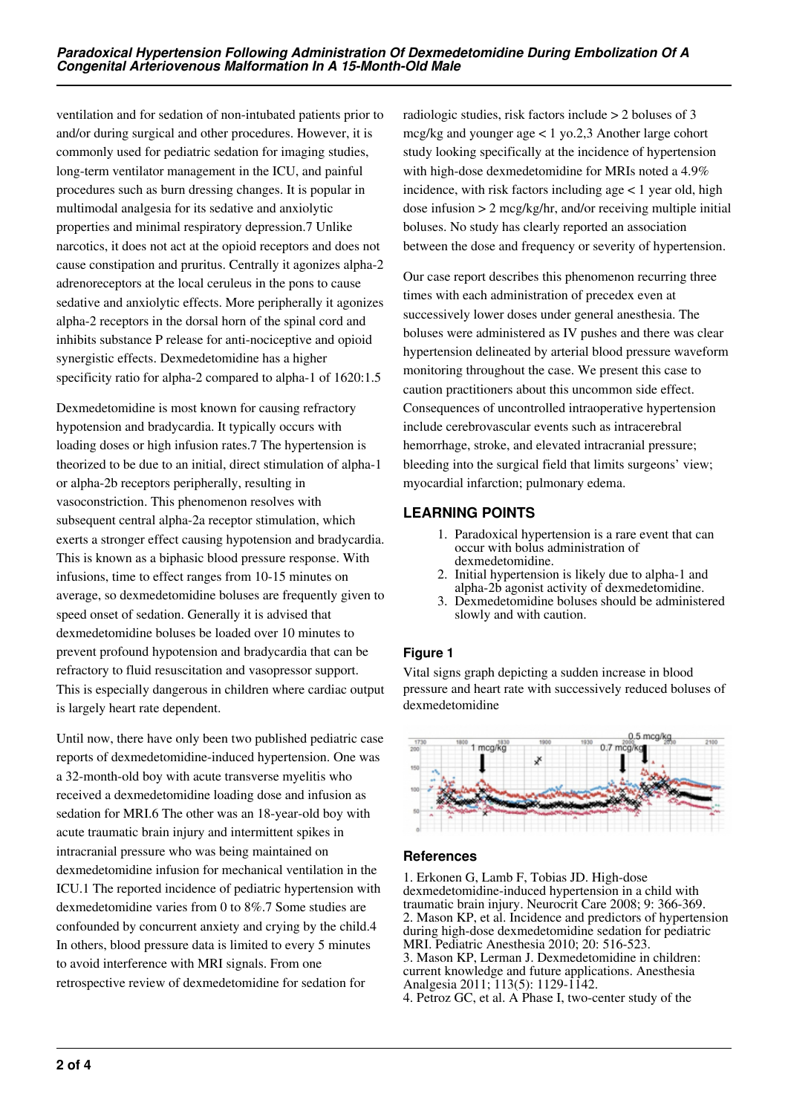ventilation and for sedation of non-intubated patients prior to and/or during surgical and other procedures. However, it is commonly used for pediatric sedation for imaging studies, long-term ventilator management in the ICU, and painful procedures such as burn dressing changes. It is popular in multimodal analgesia for its sedative and anxiolytic properties and minimal respiratory depression.7 Unlike narcotics, it does not act at the opioid receptors and does not cause constipation and pruritus. Centrally it agonizes alpha-2 adrenoreceptors at the local ceruleus in the pons to cause sedative and anxiolytic effects. More peripherally it agonizes alpha-2 receptors in the dorsal horn of the spinal cord and inhibits substance P release for anti-nociceptive and opioid synergistic effects. Dexmedetomidine has a higher specificity ratio for alpha-2 compared to alpha-1 of 1620:1.5

Dexmedetomidine is most known for causing refractory hypotension and bradycardia. It typically occurs with loading doses or high infusion rates.7 The hypertension is theorized to be due to an initial, direct stimulation of alpha-1 or alpha-2b receptors peripherally, resulting in vasoconstriction. This phenomenon resolves with subsequent central alpha-2a receptor stimulation, which exerts a stronger effect causing hypotension and bradycardia. This is known as a biphasic blood pressure response. With infusions, time to effect ranges from 10-15 minutes on average, so dexmedetomidine boluses are frequently given to speed onset of sedation. Generally it is advised that dexmedetomidine boluses be loaded over 10 minutes to prevent profound hypotension and bradycardia that can be refractory to fluid resuscitation and vasopressor support. This is especially dangerous in children where cardiac output is largely heart rate dependent.

Until now, there have only been two published pediatric case reports of dexmedetomidine-induced hypertension. One was a 32-month-old boy with acute transverse myelitis who received a dexmedetomidine loading dose and infusion as sedation for MRI.6 The other was an 18-year-old boy with acute traumatic brain injury and intermittent spikes in intracranial pressure who was being maintained on dexmedetomidine infusion for mechanical ventilation in the ICU.1 The reported incidence of pediatric hypertension with dexmedetomidine varies from 0 to 8%.7 Some studies are confounded by concurrent anxiety and crying by the child.4 In others, blood pressure data is limited to every 5 minutes to avoid interference with MRI signals. From one retrospective review of dexmedetomidine for sedation for

radiologic studies, risk factors include > 2 boluses of 3 mcg/kg and younger age < 1 yo.2,3 Another large cohort study looking specifically at the incidence of hypertension with high-dose dexmedetomidine for MRIs noted a 4.9% incidence, with risk factors including age  $< 1$  year old, high dose infusion > 2 mcg/kg/hr, and/or receiving multiple initial boluses. No study has clearly reported an association between the dose and frequency or severity of hypertension.

Our case report describes this phenomenon recurring three times with each administration of precedex even at successively lower doses under general anesthesia. The boluses were administered as IV pushes and there was clear hypertension delineated by arterial blood pressure waveform monitoring throughout the case. We present this case to caution practitioners about this uncommon side effect. Consequences of uncontrolled intraoperative hypertension include cerebrovascular events such as intracerebral hemorrhage, stroke, and elevated intracranial pressure; bleeding into the surgical field that limits surgeons' view; myocardial infarction; pulmonary edema.

## **LEARNING POINTS**

- 1. Paradoxical hypertension is a rare event that can occur with bolus administration of dexmedetomidine.
- 2. Initial hypertension is likely due to alpha-1 and alpha-2b agonist activity of dexmedetomidine.
- 3. Dexmedetomidine boluses should be administered slowly and with caution.

## **Figure 1**

Vital signs graph depicting a sudden increase in blood pressure and heart rate with successively reduced boluses of dexmedetomidine



## **References**

1. Erkonen G, Lamb F, Tobias JD. High-dose dexmedetomidine-induced hypertension in a child with traumatic brain injury. Neurocrit Care 2008; 9: 366-369. 2. Mason KP, et al. Incidence and predictors of hypertension during high-dose dexmedetomidine sedation for pediatric MRI. Pediatric Anesthesia 2010; 20: 516-523. 3. Mason KP, Lerman J. Dexmedetomidine in children: current knowledge and future applications. Anesthesia Analgesia 2011; 113(5): 1129-1142.

4. Petroz GC, et al. A Phase I, two-center study of the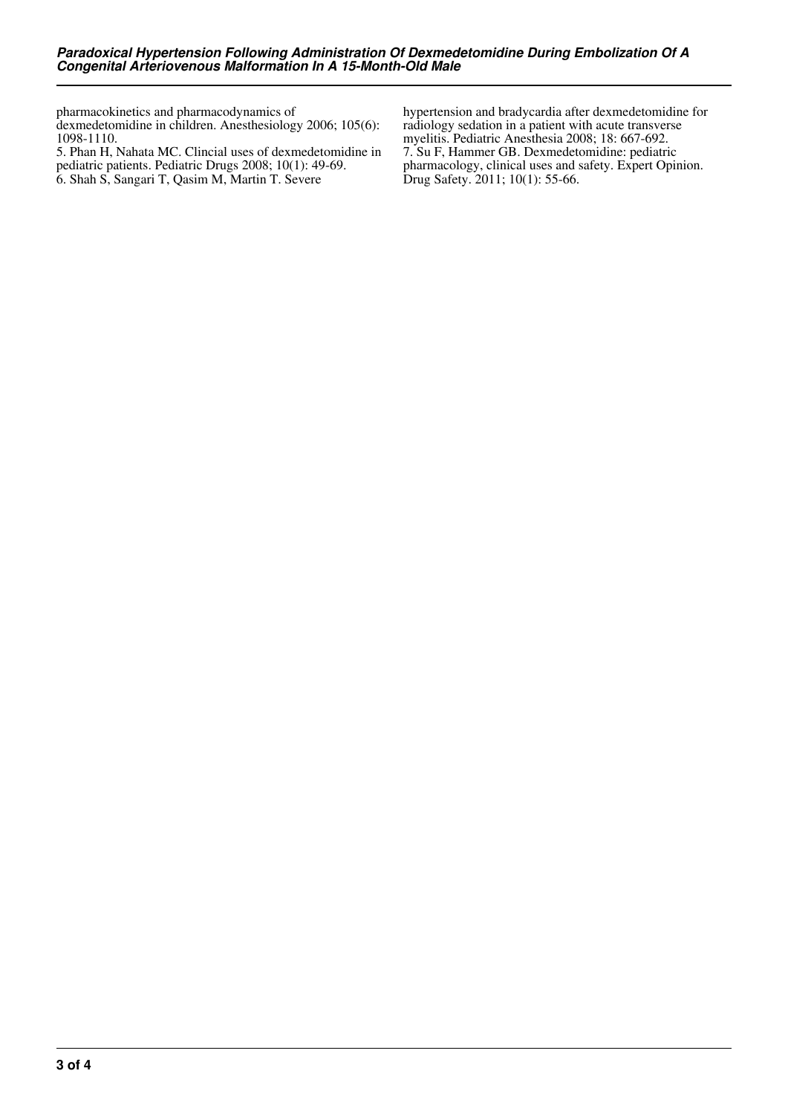pharmacokinetics and pharmacodynamics of

dexmedetomidine in children. Anesthesiology 2006; 105(6): 1098-1110.

5. Phan H, Nahata MC. Clincial uses of dexmedetomidine in pediatric patients. Pediatric Drugs 2008; 10(1): 49-69. 6. Shah S, Sangari T, Qasim M, Martin T. Severe

hypertension and bradycardia after dexmedetomidine for radiology sedation in a patient with acute transverse myelitis. Pediatric Anesthesia 2008; 18: 667-692. 7. Su F, Hammer GB. Dexmedetomidine: pediatric pharmacology, clinical uses and safety. Expert Opinion. Drug Safety. 2011; 10(1): 55-66.